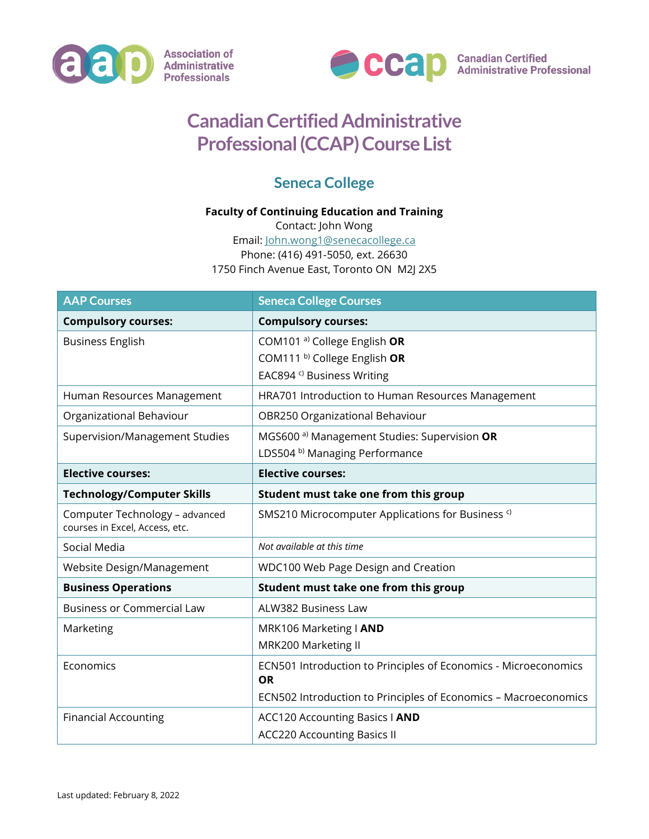



## **Canadian Certified Administrative Professional (CCAP) Course List**

## **Seneca College**

## **Faculty of Continuing Education and Training**

Contact: John Wong Email: [John.wong1@senecacollege.ca](mailto:John.wong1@senecacollege.ca) Phone: (416) 491-5050, ext. 26630 1750 Finch Avenue East, Toronto ON M2J 2X5

| <b>AAP Courses</b>                                               | <b>Seneca College Courses</b>                                   |
|------------------------------------------------------------------|-----------------------------------------------------------------|
| <b>Compulsory courses:</b>                                       | <b>Compulsory courses:</b>                                      |
| <b>Business English</b>                                          | COM101 <sup>a)</sup> College English OR                         |
|                                                                  | COM111 <sup>b)</sup> College English OR                         |
|                                                                  | EAC894 <sup>c)</sup> Business Writing                           |
| Human Resources Management                                       | HRA701 Introduction to Human Resources Management               |
| Organizational Behaviour                                         | OBR250 Organizational Behaviour                                 |
| Supervision/Management Studies                                   | MGS600 <sup>a)</sup> Management Studies: Supervision OR         |
|                                                                  | LDS504 b) Managing Performance                                  |
| <b>Elective courses:</b>                                         | <b>Elective courses:</b>                                        |
| <b>Technology/Computer Skills</b>                                | Student must take one from this group                           |
| Computer Technology - advanced<br>courses in Excel, Access, etc. | SMS210 Microcomputer Applications for Business <sup>c)</sup>    |
| Social Media                                                     | Not available at this time                                      |
| Website Design/Management                                        | WDC100 Web Page Design and Creation                             |
| <b>Business Operations</b>                                       | Student must take one from this group                           |
| <b>Business or Commercial Law</b>                                | ALW382 Business Law                                             |
| Marketing                                                        | MRK106 Marketing   AND                                          |
|                                                                  | MRK200 Marketing II                                             |
| Economics                                                        | ECN501 Introduction to Principles of Economics - Microeconomics |
|                                                                  | <b>OR</b>                                                       |
|                                                                  | ECN502 Introduction to Principles of Economics - Macroeconomics |
| <b>Financial Accounting</b>                                      | <b>ACC120 Accounting Basics I AND</b>                           |
|                                                                  | <b>ACC220 Accounting Basics II</b>                              |